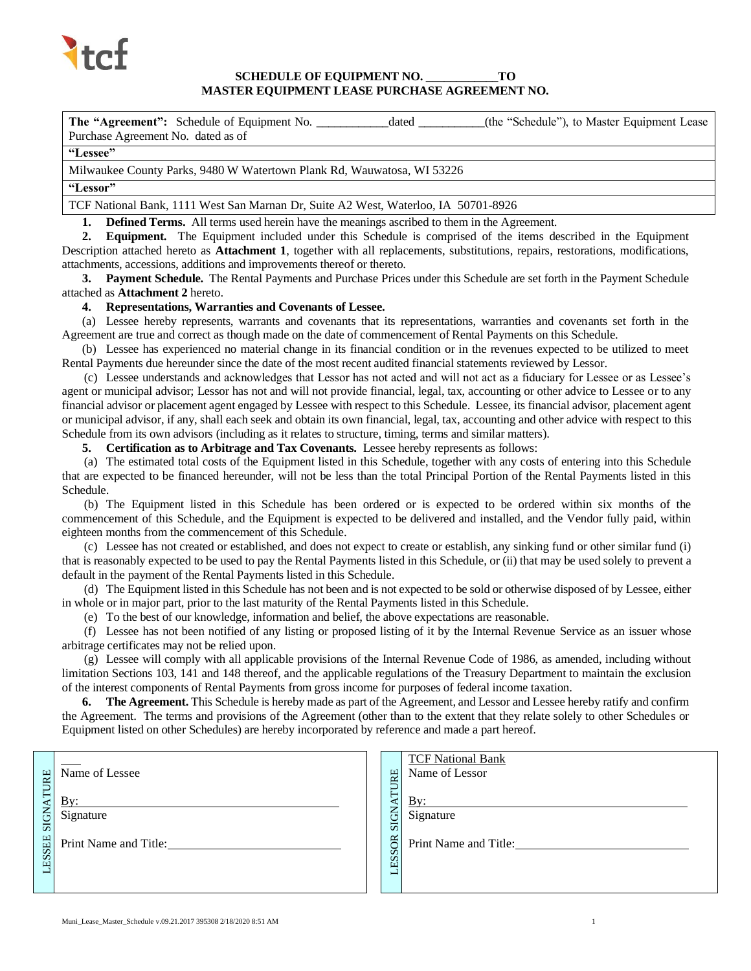

# **SCHEDULE OF EQUIPMENT NO. \_\_\_\_\_\_\_\_\_\_\_\_TO MASTER EQUIPMENT LEASE PURCHASE AGREEMENT NO.**

**The "Agreement":** Schedule of Equipment No. \_\_\_\_\_\_\_\_\_\_\_\_dated \_\_\_\_\_\_\_\_\_\_\_(the "Schedule"), to Master Equipment Lease Purchase Agreement No. dated as of

#### **"Lessee"**

Milwaukee County Parks, 9480 W Watertown Plank Rd, Wauwatosa, WI 53226

# **"Lessor"**

TCF National Bank, 1111 West San Marnan Dr, Suite A2 West, Waterloo, IA 50701-8926

**1. Defined Terms.** All terms used herein have the meanings ascribed to them in the Agreement.

**2. Equipment.** The Equipment included under this Schedule is comprised of the items described in the Equipment Description attached hereto as **Attachment 1**, together with all replacements, substitutions, repairs, restorations, modifications, attachments, accessions, additions and improvements thereof or thereto.

**3. Payment Schedule.** The Rental Payments and Purchase Prices under this Schedule are set forth in the Payment Schedule attached as **Attachment 2** hereto.

#### **4. Representations, Warranties and Covenants of Lessee.**

(a) Lessee hereby represents, warrants and covenants that its representations, warranties and covenants set forth in the Agreement are true and correct as though made on the date of commencement of Rental Payments on this Schedule.

(b) Lessee has experienced no material change in its financial condition or in the revenues expected to be utilized to meet Rental Payments due hereunder since the date of the most recent audited financial statements reviewed by Lessor.

(c) Lessee understands and acknowledges that Lessor has not acted and will not act as a fiduciary for Lessee or as Lessee's agent or municipal advisor; Lessor has not and will not provide financial, legal, tax, accounting or other advice to Lessee or to any financial advisor or placement agent engaged by Lessee with respect to this Schedule. Lessee, its financial advisor, placement agent or municipal advisor, if any, shall each seek and obtain its own financial, legal, tax, accounting and other advice with respect to this Schedule from its own advisors (including as it relates to structure, timing, terms and similar matters).

**5. Certification as to Arbitrage and Tax Covenants.** Lessee hereby represents as follows:

(a) The estimated total costs of the Equipment listed in this Schedule, together with any costs of entering into this Schedule that are expected to be financed hereunder, will not be less than the total Principal Portion of the Rental Payments listed in this Schedule.

(b) The Equipment listed in this Schedule has been ordered or is expected to be ordered within six months of the commencement of this Schedule, and the Equipment is expected to be delivered and installed, and the Vendor fully paid, within eighteen months from the commencement of this Schedule.

(c) Lessee has not created or established, and does not expect to create or establish, any sinking fund or other similar fund (i) that is reasonably expected to be used to pay the Rental Payments listed in this Schedule, or (ii) that may be used solely to prevent a default in the payment of the Rental Payments listed in this Schedule.

(d) The Equipment listed in this Schedule has not been and is not expected to be sold or otherwise disposed of by Lessee, either in whole or in major part, prior to the last maturity of the Rental Payments listed in this Schedule.

(e) To the best of our knowledge, information and belief, the above expectations are reasonable.

(f) Lessee has not been notified of any listing or proposed listing of it by the Internal Revenue Service as an issuer whose arbitrage certificates may not be relied upon.

(g) Lessee will comply with all applicable provisions of the Internal Revenue Code of 1986, as amended, including without limitation Sections 103, 141 and 148 thereof, and the applicable regulations of the Treasury Department to maintain the exclusion of the interest components of Rental Payments from gross income for purposes of federal income taxation.

**6. The Agreement.** This Schedule is hereby made as part of the Agreement, and Lessor and Lessee hereby ratify and confirm the Agreement. The terms and provisions of the Agreement (other than to the extent that they relate solely to other Schedules or Equipment listed on other Schedules) are hereby incorporated by reference and made a part hereof.

|                         | Name of Lessee               | 足                                  | <b>TCF National Bank</b><br>Name of Lessor |
|-------------------------|------------------------------|------------------------------------|--------------------------------------------|
| <b>LESSEE SIGNATURE</b> | $\mathbf{B}v$ :<br>Signature | ⊢<br>$\mathbf{S}$                  | By:<br>Signature                           |
|                         | Print Name and Title:        | $\overline{a}$<br><b>SOR</b><br>ES | Print Name and Title:                      |
|                         |                              |                                    |                                            |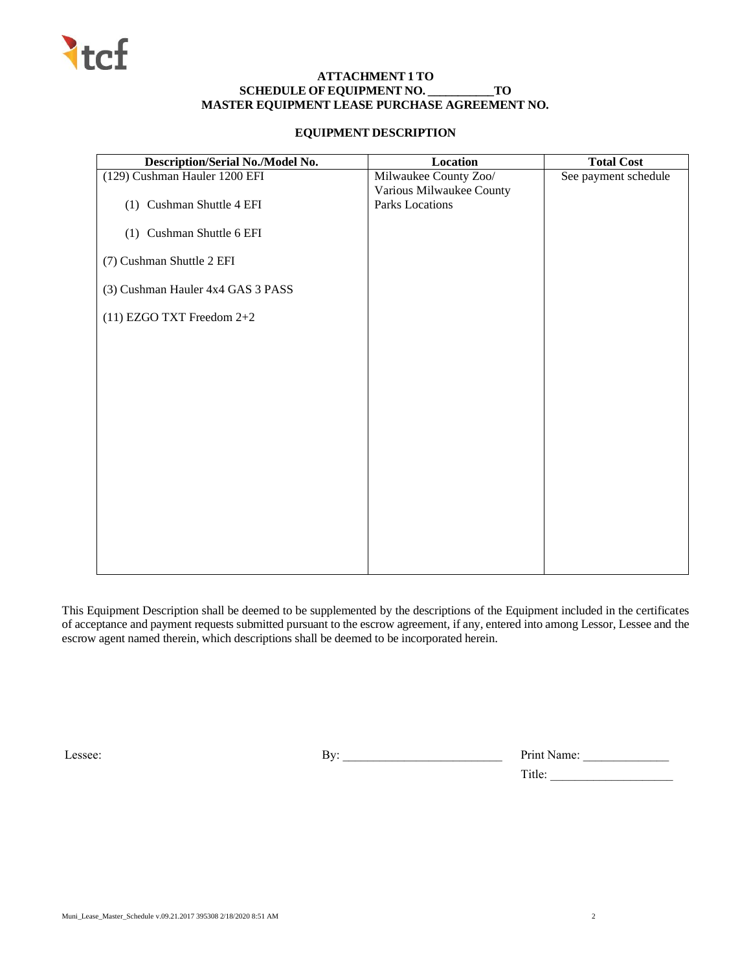

# **ATTACHMENT 1 TO SCHEDULE OFEQUIPMENT NO. \_\_\_\_\_\_\_\_\_\_\_TO MASTER EQUIPMENT LEASE PURCHASE AGREEMENT NO.**

# **EQUIPMENT DESCRIPTION**

| Description/Serial No./Model No.  | Location                 | <b>Total Cost</b>    |
|-----------------------------------|--------------------------|----------------------|
| (129) Cushman Hauler 1200 EFI     | Milwaukee County Zoo/    | See payment schedule |
|                                   | Various Milwaukee County |                      |
| (1) Cushman Shuttle 4 EFI         | Parks Locations          |                      |
| (1) Cushman Shuttle 6 EFI         |                          |                      |
| (7) Cushman Shuttle 2 EFI         |                          |                      |
| (3) Cushman Hauler 4x4 GAS 3 PASS |                          |                      |
| (11) EZGO TXT Freedom 2+2         |                          |                      |
|                                   |                          |                      |
|                                   |                          |                      |
|                                   |                          |                      |
|                                   |                          |                      |
|                                   |                          |                      |
|                                   |                          |                      |
|                                   |                          |                      |
|                                   |                          |                      |
|                                   |                          |                      |

This Equipment Description shall be deemed to be supplemented by the descriptions of the Equipment included in the certificates of acceptance and payment requests submitted pursuant to the escrow agreement, if any, entered into among Lessor, Lessee and the escrow agent named therein, which descriptions shall be deemed to be incorporated herein.

Lessee: By: \_\_\_\_\_\_\_\_\_\_\_\_\_\_\_\_\_\_\_\_\_\_\_\_\_\_ Print Name: \_\_\_\_\_\_\_\_\_\_\_\_\_\_

Title: \_\_\_\_\_\_\_\_\_\_\_\_\_\_\_\_\_\_\_\_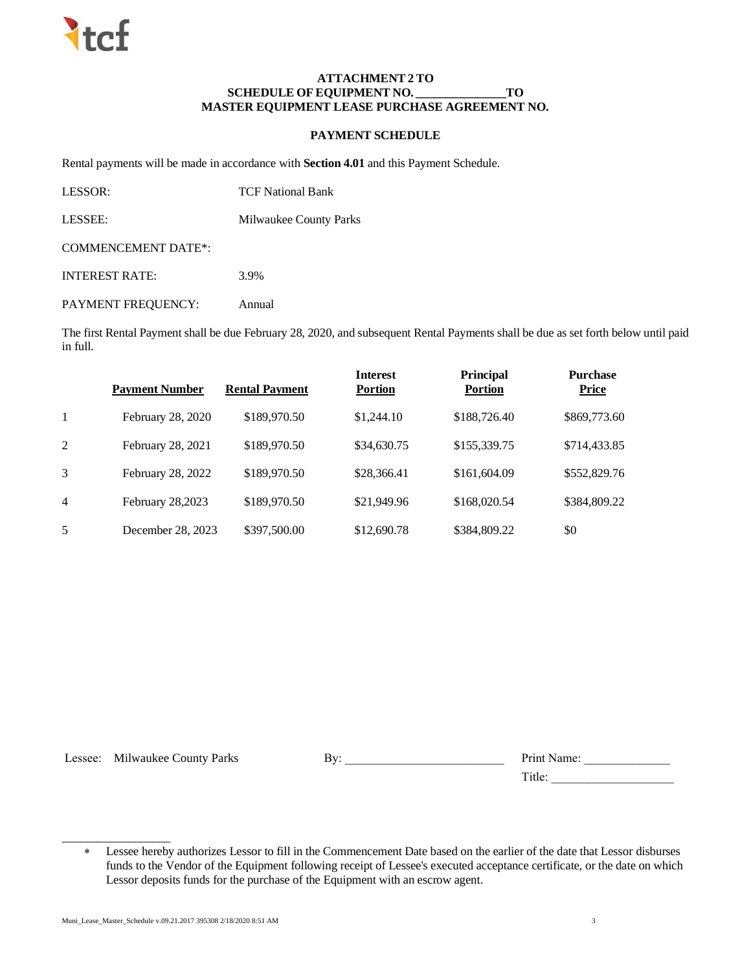### **ATTACHMENT 2 TO SCHEDULE OFEQUIPMENT NO. \_\_\_\_\_\_\_\_\_\_\_\_\_\_\_TO MASTER EQUIPMENT LEASE PURCHASE AGREEMENT NO.**

# **PAYMENT SCHEDULE**

Rental payments will be made in accordance with **Section 4.01** and this Payment Schedule.

| LESSOR:                    | <b>TCF National Bank</b> |
|----------------------------|--------------------------|
| LESSEE:                    | Milwaukee County Parks   |
| <b>COMMENCEMENT DATE*:</b> |                          |

INTEREST RATE: 3.9%

PAYMENT FREQUENCY: Annual

The first Rental Payment shall be due February 28, 2020, and subsequent Rental Payments shall be due as set forth below until paid in full.

|                | <b>Payment Number</b> | <b>Rental Payment</b> | <b>Interest</b><br><b>Portion</b> | <b>Principal</b><br><b>Portion</b> | <b>Purchase</b><br><b>Price</b> |
|----------------|-----------------------|-----------------------|-----------------------------------|------------------------------------|---------------------------------|
| 1              | February 28, 2020     | \$189,970.50          | \$1,244.10                        | \$188,726.40                       | \$869,773.60                    |
| 2              | February 28, 2021     | \$189,970.50          | \$34,630.75                       | \$155,339.75                       | \$714,433.85                    |
| 3              | February 28, 2022     | \$189,970.50          | \$28,366.41                       | \$161,604.09                       | \$552,829.76                    |
| $\overline{4}$ | February 28,2023      | \$189,970.50          | \$21,949.96                       | \$168,020.54                       | \$384,809.22                    |
| 5              | December 28, 2023     | \$397,500.00          | \$12,690.78                       | \$384,809.22                       | \$0                             |

\_\_\_\_\_\_\_\_\_\_\_\_\_\_\_\_\_\_

Lessee: Milwaukee County Parks By: Print Name: Print Name:

Title:

Lessee hereby authorizes Lessor to fill in the Commencement Date based on the earlier of the date that Lessor disburses funds to the Vendor of the Equipment following receipt of Lessee's executed acceptance certificate, or the date on which Lessor deposits funds for the purchase of the Equipment with an escrow agent.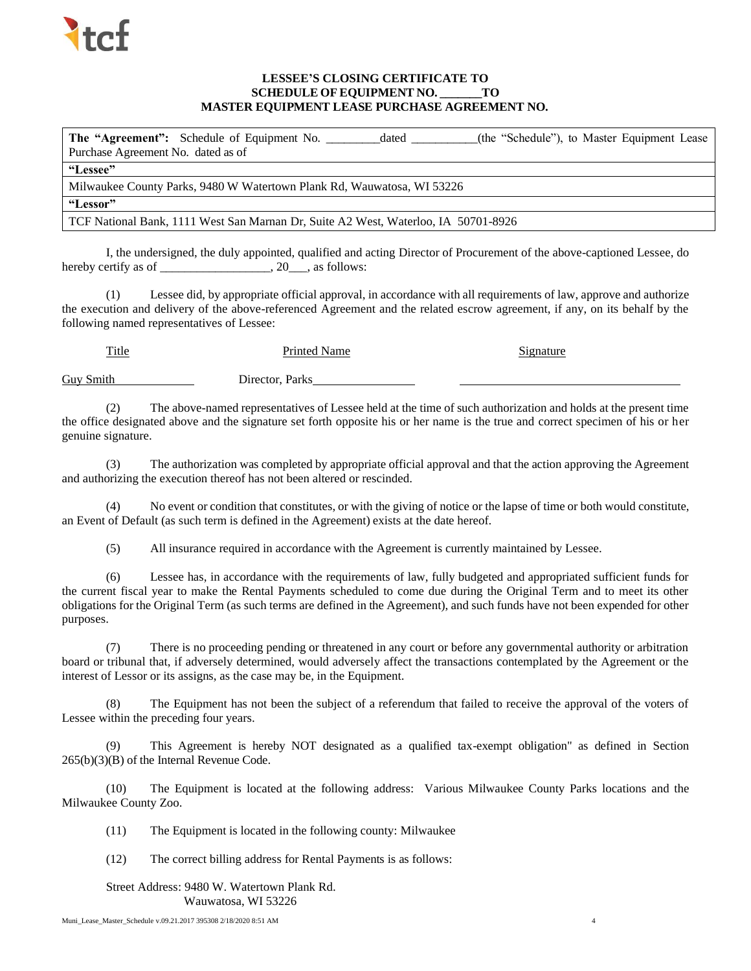

# **LESSEE'S CLOSING CERTIFICATE TO SCHEDULE OF EQUIPMENT NO. \_\_\_\_\_\_\_TO MASTER EQUIPMENT LEASE PURCHASE AGREEMENT NO.**

The "Agreement": Schedule of Equipment No. \_\_\_\_\_\_\_\_dated \_\_\_\_\_\_\_\_(the "Schedule"), to Master Equipment Lease Purchase Agreement No. dated as of **"Lessee"** Milwaukee County Parks, 9480 W Watertown Plank Rd, Wauwatosa, WI 53226 **"Lessor"** TCF National Bank, 1111 West San Marnan Dr, Suite A2 West, Waterloo, IA 50701-8926

I, the undersigned, the duly appointed, qualified and acting Director of Procurement of the above-captioned Lessee, do hereby certify as of \_\_\_\_\_\_\_\_\_\_\_\_\_\_\_\_\_, 20\_\_, as follows:

(1) Lessee did, by appropriate official approval, in accordance with all requirements of law, approve and authorize the execution and delivery of the above-referenced Agreement and the related escrow agreement, if any, on its behalf by the following named representatives of Lessee:

Title **Printed Name** Signature Guy Smith Director, Parks

(2) The above-named representatives of Lessee held at the time of such authorization and holds at the present time the office designated above and the signature set forth opposite his or her name is the true and correct specimen of his or her genuine signature.

(3) The authorization was completed by appropriate official approval and that the action approving the Agreement and authorizing the execution thereof has not been altered or rescinded.

(4) No event or condition that constitutes, or with the giving of notice or the lapse of time or both would constitute, an Event of Default (as such term is defined in the Agreement) exists at the date hereof.

(5) All insurance required in accordance with the Agreement is currently maintained by Lessee.

(6) Lessee has, in accordance with the requirements of law, fully budgeted and appropriated sufficient funds for the current fiscal year to make the Rental Payments scheduled to come due during the Original Term and to meet its other obligations for the Original Term (as such terms are defined in the Agreement), and such funds have not been expended for other purposes.

(7) There is no proceeding pending or threatened in any court or before any governmental authority or arbitration board or tribunal that, if adversely determined, would adversely affect the transactions contemplated by the Agreement or the interest of Lessor or its assigns, as the case may be, in the Equipment.

(8) The Equipment has not been the subject of a referendum that failed to receive the approval of the voters of Lessee within the preceding four years.

(9) This Agreement is hereby NOT designated as a qualified tax-exempt obligation" as defined in Section 265(b)(3)(B) of the Internal Revenue Code.

(10) The Equipment is located at the following address: Various Milwaukee County Parks locations and the Milwaukee County Zoo.

(11) The Equipment is located in the following county: Milwaukee

(12) The correct billing address for Rental Payments is as follows:

Street Address: 9480 W. Watertown Plank Rd. Wauwatosa, WI 53226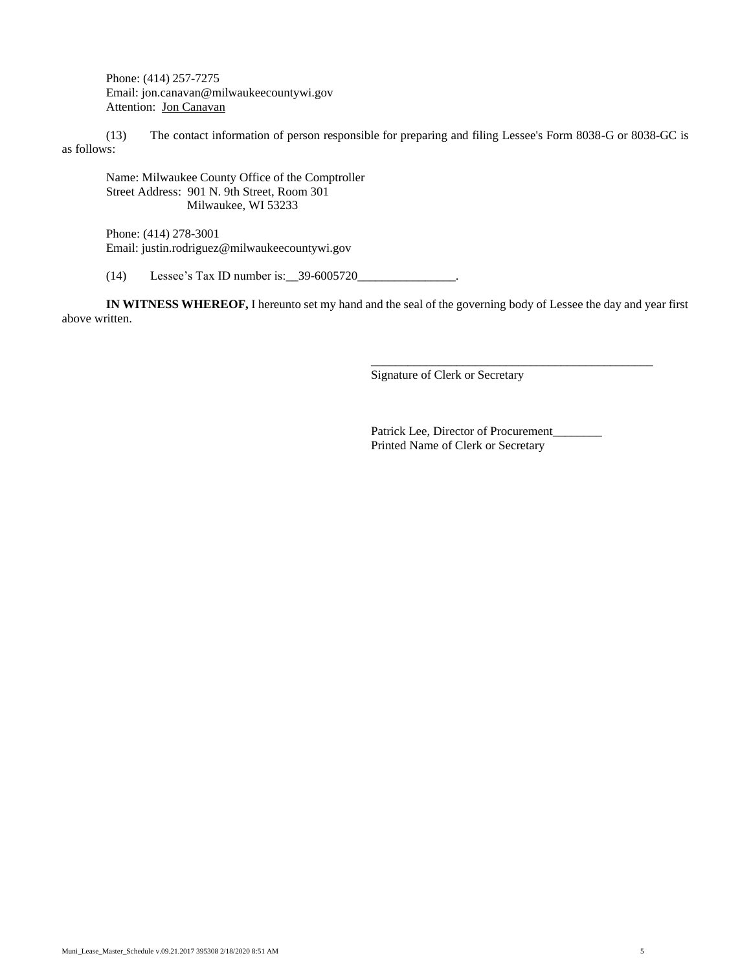Phone: (414) 257-7275 Email: jon.canavan@milwaukeecountywi.gov Attention: Jon Canavan

(13) The contact information of person responsible for preparing and filing Lessee's Form 8038-G or 8038-GC is as follows:

Name: Milwaukee County Office of the Comptroller Street Address: 901 N. 9th Street, Room 301 Milwaukee, WI 53233

Phone: (414) 278-3001 Email: justin.rodriguez@milwaukeecountywi.gov

 $(14)$  Lessee's Tax ID number is: \_\_39-6005720\_

**IN WITNESS WHEREOF,** I hereunto set my hand and the seal of the governing body of Lessee the day and year first above written.

Signature of Clerk or Secretary

Patrick Lee, Director of Procurement\_\_\_\_\_\_\_\_ Printed Name of Clerk or Secretary

\_\_\_\_\_\_\_\_\_\_\_\_\_\_\_\_\_\_\_\_\_\_\_\_\_\_\_\_\_\_\_\_\_\_\_\_\_\_\_\_\_\_\_\_\_\_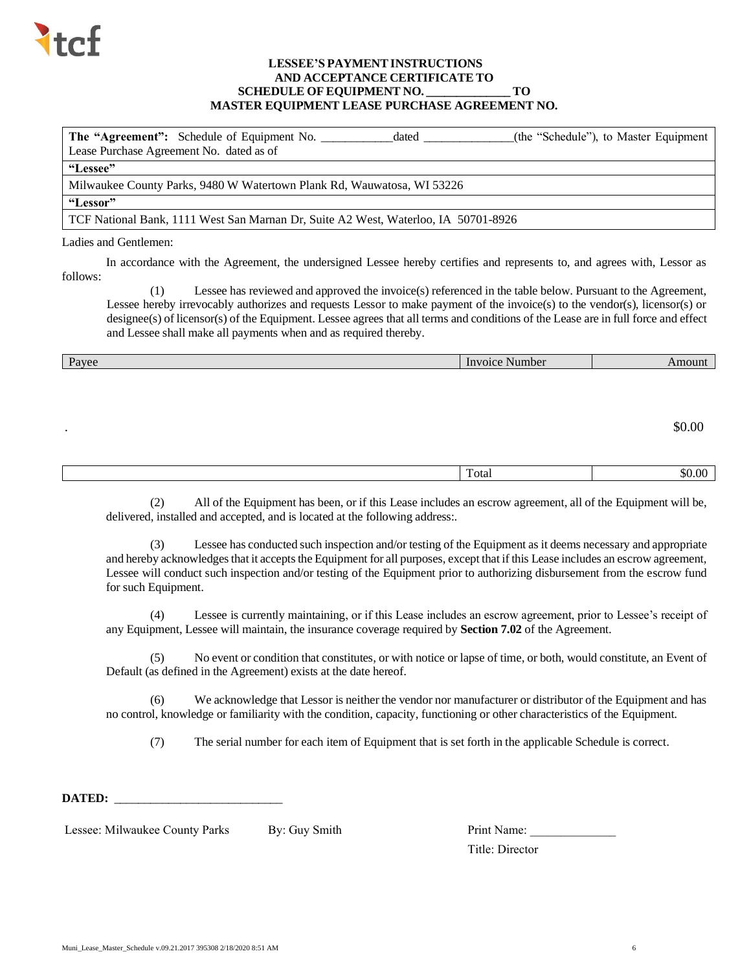

# **LESSEE'S PAYMENTINSTRUCTIONS AND ACCEPTANCE CERTIFICATE TO SCHEDULE OFEQUIPMENT NO. \_\_\_\_\_\_\_\_\_\_\_\_\_\_ TO MASTER EQUIPMENT LEASE PURCHASE AGREEMENT NO.**

| <b>The "Agreement":</b> Schedule of Equipment No.<br>Lease Purchase Agreement No. dated as of | dated | (the "Schedule"), to Master Equipment |
|-----------------------------------------------------------------------------------------------|-------|---------------------------------------|
| "Lessee"                                                                                      |       |                                       |
| Milwaukee County Parks, 9480 W Watertown Plank Rd, Wauwatosa, WI 53226                        |       |                                       |
| "Lessor"                                                                                      |       |                                       |
| TCF National Bank, 1111 West San Marnan Dr. Suite A2 West, Waterloo, IA 50701-8926            |       |                                       |
|                                                                                               |       |                                       |

# Ladies and Gentlemen:

In accordance with the Agreement, the undersigned Lessee hereby certifies and represents to, and agrees with, Lessor as follows:

(1) Lessee has reviewed and approved the invoice(s) referenced in the table below. Pursuant to the Agreement, Lessee hereby irrevocably authorizes and requests Lessor to make payment of the invoice(s) to the vendor(s), licensor(s) or designee(s) of licensor(s) of the Equipment. Lessee agrees that all terms and conditions of the Lease are in full force and effect and Lessee shall make all payments when and as required thereby.

| Payee     | Invoice Number | Amount |
|-----------|----------------|--------|
|           |                |        |
|           |                |        |
|           |                |        |
| $\bullet$ |                | \$0.00 |
|           |                |        |
|           |                |        |
|           | Total          | \$0.00 |

(2) All of the Equipment has been, or if this Lease includes an escrow agreement, all of the Equipment will be, delivered, installed and accepted, and is located at the following address:.

(3) Lessee has conducted such inspection and/or testing of the Equipment as it deems necessary and appropriate and hereby acknowledges that it accepts the Equipment for all purposes, except that if this Lease includes an escrow agreement, Lessee will conduct such inspection and/or testing of the Equipment prior to authorizing disbursement from the escrow fund for such Equipment.

(4) Lessee is currently maintaining, or if this Lease includes an escrow agreement, prior to Lessee's receipt of any Equipment, Lessee will maintain, the insurance coverage required by **Section 7.02** of the Agreement.

(5) No event or condition that constitutes, or with notice or lapse of time, or both, would constitute, an Event of Default (as defined in the Agreement) exists at the date hereof.

(6) We acknowledge that Lessor is neither the vendor nor manufacturer or distributor of the Equipment and has no control, knowledge or familiarity with the condition, capacity, functioning or other characteristics of the Equipment.

(7) The serial number for each item of Equipment that is set forth in the applicable Schedule is correct.

DATED:

Lessee: Milwaukee County Parks By: Guy Smith

| Print Name:     |  |
|-----------------|--|
| Title: Director |  |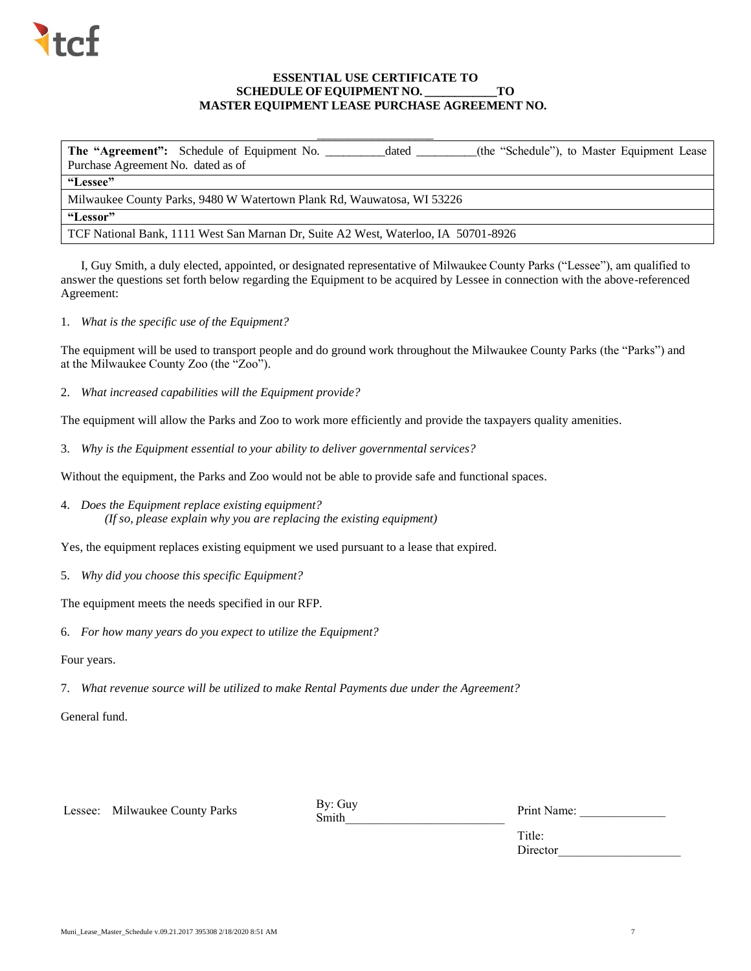

# **ESSENTIAL USE CERTIFICATE TO SCHEDULE OFEQUIPMENT NO. \_\_\_\_\_\_\_\_\_\_\_\_TO MASTER EQUIPMENT LEASE PURCHASE AGREEMENT NO.**

\_\_\_\_\_\_\_\_\_\_\_\_\_\_\_\_\_\_\_

**The "Agreement":** Schedule of Equipment No. \_\_\_\_\_\_\_\_\_\_dated \_\_\_\_\_\_\_\_\_\_(the "Schedule"), to Master Equipment Lease Purchase Agreement No. dated as of **"Lessee"** Milwaukee County Parks, 9480 W Watertown Plank Rd, Wauwatosa, WI 53226 **"Lessor"** TCF National Bank, 1111 West San Marnan Dr, Suite A2 West, Waterloo, IA 50701-8926

I, Guy Smith, a duly elected, appointed, or designated representative of Milwaukee County Parks ("Lessee"), am qualified to answer the questions set forth below regarding the Equipment to be acquired by Lessee in connection with the above-referenced Agreement:

1. *What is the specific use of the Equipment?*

The equipment will be used to transport people and do ground work throughout the Milwaukee County Parks (the "Parks") and at the Milwaukee County Zoo (the "Zoo").

2. *What increased capabilities will the Equipment provide?*

The equipment will allow the Parks and Zoo to work more efficiently and provide the taxpayers quality amenities.

3. *Why is the Equipment essential to your ability to deliver governmental services?*

Without the equipment, the Parks and Zoo would not be able to provide safe and functional spaces.

4. *Does the Equipment replace existing equipment? (If so, please explain why you are replacing the existing equipment)*

Yes, the equipment replaces existing equipment we used pursuant to a lease that expired.

5. *Why did you choose this specific Equipment?*

The equipment meets the needs specified in our RFP.

6. *For how many years do you expect to utilize the Equipment?*

Four years.

7. *What revenue source will be utilized to make Rental Payments due under the Agreement?*

General fund.

Lessee: Milwaukee County Parks By: Guy

Smith\_\_\_\_\_\_\_\_\_\_\_\_\_\_\_\_\_\_\_\_\_\_\_\_\_\_

Print Name:

Title: Director